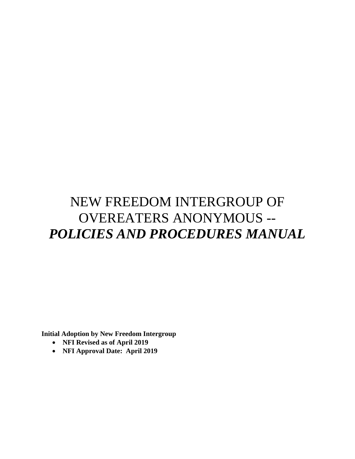# NEW FREEDOM INTERGROUP OF OVEREATERS ANONYMOUS -- *POLICIES AND PROCEDURES MANUAL*

**Initial Adoption by New Freedom Intergroup** 

- **NFI Revised as of April 2019**
- **NFI Approval Date: April 2019**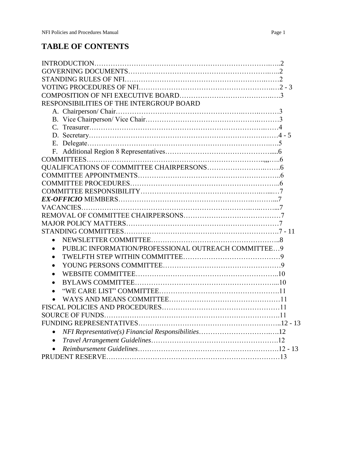# **TABLE OF CONTENTS**

| RESPONSIBILITIES OF THE INTERGROUP BOARD                         |  |
|------------------------------------------------------------------|--|
|                                                                  |  |
|                                                                  |  |
|                                                                  |  |
|                                                                  |  |
|                                                                  |  |
|                                                                  |  |
|                                                                  |  |
|                                                                  |  |
|                                                                  |  |
|                                                                  |  |
|                                                                  |  |
|                                                                  |  |
|                                                                  |  |
|                                                                  |  |
|                                                                  |  |
|                                                                  |  |
| $\bullet$                                                        |  |
| PUBLIC INFORMATION/PROFESSIONAL OUTREACH COMMITTEE9<br>$\bullet$ |  |
|                                                                  |  |
|                                                                  |  |
|                                                                  |  |
|                                                                  |  |
|                                                                  |  |
|                                                                  |  |
|                                                                  |  |
|                                                                  |  |
|                                                                  |  |
| $\bullet$                                                        |  |
| $\bullet$                                                        |  |
| $\bullet$                                                        |  |
|                                                                  |  |
|                                                                  |  |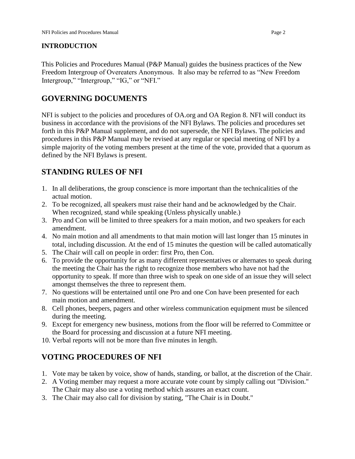#### **INTRODUCTION**

This Policies and Procedures Manual (P&P Manual) guides the business practices of the New Freedom Intergroup of Overeaters Anonymous. It also may be referred to as "New Freedom Intergroup," "Intergroup," "IG," or "NFI."

#### **GOVERNING DOCUMENTS**

NFI is subject to the policies and procedures of OA.org and OA Region 8. NFI will conduct its business in accordance with the provisions of the NFI Bylaws. The policies and procedures set forth in this P&P Manual supplement, and do not supersede, the NFI Bylaws. The policies and procedures in this P&P Manual may be revised at any regular or special meeting of NFI by a simple majority of the voting members present at the time of the vote, provided that a quorum as defined by the NFI Bylaws is present.

### **STANDING RULES OF NFI**

- 1. In all deliberations, the group conscience is more important than the technicalities of the actual motion.
- 2. To be recognized, all speakers must raise their hand and be acknowledged by the Chair. When recognized, stand while speaking (Unless physically unable.)
- 3. Pro and Con will be limited to three speakers for a main motion, and two speakers for each amendment.
- 4. No main motion and all amendments to that main motion will last longer than 15 minutes in total, including discussion. At the end of 15 minutes the question will be called automatically
- 5. The Chair will call on people in order: first Pro, then Con.
- 6. To provide the opportunity for as many different representatives or alternates to speak during the meeting the Chair has the right to recognize those members who have not had the opportunity to speak. If more than three wish to speak on one side of an issue they will select amongst themselves the three to represent them.
- 7. No questions will be entertained until one Pro and one Con have been presented for each main motion and amendment.
- 8. Cell phones, beepers, pagers and other wireless communication equipment must be silenced during the meeting.
- 9. Except for emergency new business, motions from the floor will be referred to Committee or the Board for processing and discussion at a future NFI meeting.
- 10. Verbal reports will not be more than five minutes in length.

#### **VOTING PROCEDURES OF NFI**

- 1. Vote may be taken by voice, show of hands, standing, or ballot, at the discretion of the Chair.
- 2. A Voting member may request a more accurate vote count by simply calling out "Division." The Chair may also use a voting method which assures an exact count.
- 3. The Chair may also call for division by stating, "The Chair is in Doubt."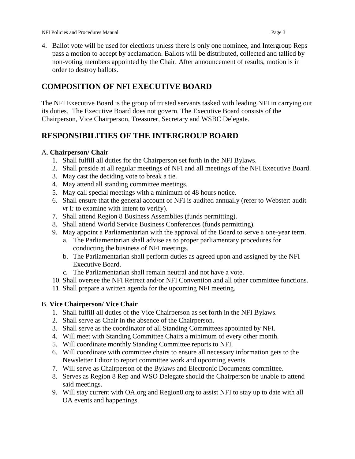NFI Policies and Procedures Manual Page 3

- 
- 4. Ballot vote will be used for elections unless there is only one nominee, and Intergroup Reps pass a motion to accept by acclamation. Ballots will be distributed, collected and tallied by non-voting members appointed by the Chair. After announcement of results, motion is in order to destroy ballots.

### **COMPOSITION OF NFI EXECUTIVE BOARD**

The NFI Executive Board is the group of trusted servants tasked with leading NFI in carrying out its duties. The Executive Board does not govern. The Executive Board consists of the Chairperson, Vice Chairperson, Treasurer, Secretary and WSBC Delegate.

### **RESPONSIBILITIES OF THE INTERGROUP BOARD**

#### A. **Chairperson/ Chair**

- 1. Shall fulfill all duties for the Chairperson set forth in the NFI Bylaws.
- 2. Shall preside at all regular meetings of NFI and all meetings of the NFI Executive Board.
- 3. May cast the deciding vote to break a tie.
- 4. May attend all standing committee meetings.
- 5. May call special meetings with a minimum of 48 hours notice.
- 6. Shall ensure that the general account of NFI is audited annually (refer to Webster: audit *vt* I*:* to examine with intent to verify).
- 7. Shall attend Region 8 Business Assemblies (funds permitting).
- 8. Shall attend World Service Business Conferences (funds permitting).
- 9. May appoint a Parliamentarian with the approval of the Board to serve a one-year term.
	- a. The Parliamentarian shall advise as to proper parliamentary procedures for conducting the business of NFI meetings.
	- b. The Parliamentarian shall perform duties as agreed upon and assigned by the NFI Executive Board.
	- c. The Parliamentarian shall remain neutral and not have a vote.
- 10. Shall oversee the NFI Retreat and/or NFI Convention and all other committee functions.
- 11. Shall prepare a written agenda for the upcoming NFI meeting.

#### B. **Vice Chairperson/ Vice Chair**

- 1. Shall fulfill all duties of the Vice Chairperson as set forth in the NFI Bylaws.
- 2. Shall serve as Chair in the absence of the Chairperson.
- 3. Shall serve as the coordinator of all Standing Committees appointed by NFI.
- 4. Will meet with Standing Committee Chairs a minimum of every other month.
- 5. Will coordinate monthly Standing Committee reports to NFI.
- 6. Will coordinate with committee chairs to ensure all necessary information gets to the Newsletter Editor to report committee work and upcoming events.
- 7. Will serve as Chairperson of the Bylaws and Electronic Documents committee.
- 8. Serves as Region 8 Rep and WSO Delegate should the Chairperson be unable to attend said meetings.
- 9. Will stay current with OA.org and Region8.org to assist NFI to stay up to date with all OA events and happenings.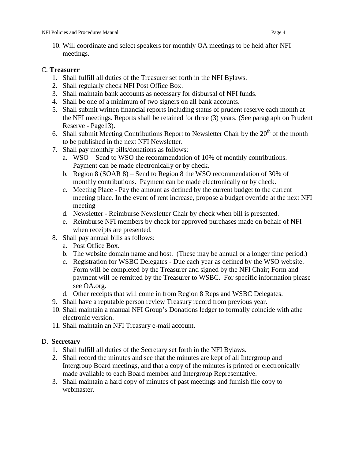10. Will coordinate and select speakers for monthly OA meetings to be held after NFI meetings.

#### C. **Treasurer**

- 1. Shall fulfill all duties of the Treasurer set forth in the NFI Bylaws.
- 2. Shall regularly check NFI Post Office Box.
- 3. Shall maintain bank accounts as necessary for disbursal of NFI funds.
- 4. Shall be one of a minimum of two signers on all bank accounts.
- 5. Shall submit written financial reports including status of prudent reserve each month at the NFI meetings. Reports shall be retained for three (3) years. (See paragraph on Prudent Reserve - Page13).
- 6. Shall submit Meeting Contributions Report to Newsletter Chair by the  $20<sup>th</sup>$  of the month to be published in the next NFI Newsletter.
- 7. Shall pay monthly bills/donations as follows:
	- a. WSO Send to WSO the recommendation of 10% of monthly contributions. Payment can be made electronically or by check.
	- b. Region 8 (SOAR 8) Send to Region 8 the WSO recommendation of 30% of monthly contributions. Payment can be made electronically or by check.
	- c. Meeting Place Pay the amount as defined by the current budget to the current meeting place. In the event of rent increase, propose a budget override at the next NFI meeting
	- d. Newsletter Reimburse Newsletter Chair by check when bill is presented.
	- e. Reimburse NFI members by check for approved purchases made on behalf of NFI when receipts are presented.
- 8. Shall pay annual bills as follows:
	- a. Post Office Box.
	- b. The website domain name and host. (These may be annual or a longer time period.)
	- c. Registration for WSBC Delegates Due each year as defined by the WSO website. Form will be completed by the Treasurer and signed by the NFI Chair; Form and payment will be remitted by the Treasurer to WSBC. For specific information please see OA.org.
	- d. Other receipts that will come in from Region 8 Reps and WSBC Delegates.
- 9. Shall have a reputable person review Treasury record from previous year.
- 10. Shall maintain a manual NFI Group's Donations ledger to formally coincide with athe electronic version.
- 11. Shall maintain an NFI Treasury e-mail account.

#### D. **Secretary**

- 1. Shall fulfill all duties of the Secretary set forth in the NFI Bylaws.
- 2. Shall record the minutes and see that the minutes are kept of all Intergroup and Intergroup Board meetings, and that a copy of the minutes is printed or electronically made available to each Board member and Intergroup Representative.
- 3. Shall maintain a hard copy of minutes of past meetings and furnish file copy to webmaster.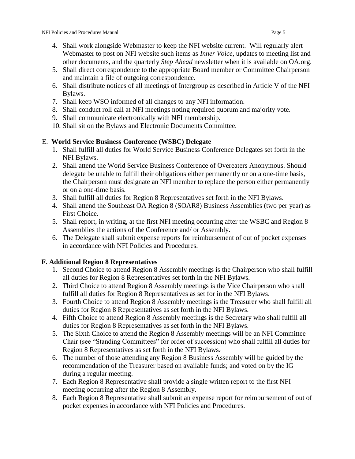- 4. Shall work alongside Webmaster to keep the NFI website current. Will regularly alert Webmaster to post on NFI website such items as *Inner Voice*, updates to meeting list and other documents, and the quarterly *Step Ahead* newsletter when it is available on OA.org.
- 5. Shall direct correspondence to the appropriate Board member or Committee Chairperson and maintain a file of outgoing correspondence.
- 6. Shall distribute notices of all meetings of Intergroup as described in Article V of the NFI Bylaws.
- 7. Shall keep WSO informed of all changes to any NFI information.
- 8. Shall conduct roll call at NFI meetings noting required quorum and majority vote.
- 9. Shall communicate electronically with NFI membership.
- 10. Shall sit on the Bylaws and Electronic Documents Committee.

#### E. **World Service Business Conference (WSBC) Delegate**

- 1. Shall fulfill all duties for World Service Business Conference Delegates set forth in the NFI Bylaws.
- 2. Shall attend the World Service Business Conference of Overeaters Anonymous. Should delegate be unable to fulfill their obligations either permanently or on a one-time basis, the Chairperson must designate an NFI member to replace the person either permanently or on a one-time basis.
- 3. Shall fulfill all duties for Region 8 Representatives set forth in the NFI Bylaws.
- 4. Shall attend the Southeast OA Region 8 (SOAR8) Business Assemblies (two per year) as First Choice.
- 5. Shall report, in writing, at the first NFI meeting occurring after the WSBC and Region 8 Assemblies the actions of the Conference and/ or Assembly.
- 6. The Delegate shall submit expense reports for reimbursement of out of pocket expenses in accordance with NFI Policies and Procedures.

#### **F. Additional Region 8 Representatives**

- 1. Second Choice to attend Region 8 Assembly meetings is the Chairperson who shall fulfill all duties for Region 8 Representatives set forth in the NFI Bylaws.
- 2. Third Choice to attend Region 8 Assembly meetings is the Vice Chairperson who shall fulfill all duties for Region 8 Representatives as set for in the NFI Bylaws.
- 3. Fourth Choice to attend Region 8 Assembly meetings is the Treasurer who shall fulfill all duties for Region 8 Representatives as set forth in the NFI Bylaws.
- 4. Fifth Choice to attend Region 8 Assembly meetings is the Secretary who shall fulfill all duties for Region 8 Representatives as set forth in the NFI Bylaws.
- 5. The Sixth Choice to attend the Region 8 Assembly meetings will be an NFI Committee Chair (see "Standing Committees" for order of succession) who shall fulfill all duties for Region 8 Representatives as set forth in the NFI Bylaws.
- 6. The number of those attending any Region 8 Business Assembly will be guided by the recommendation of the Treasurer based on available funds; and voted on by the IG during a regular meeting.
- 7. Each Region 8 Representative shall provide a single written report to the first NFI meeting occurring after the Region 8 Assembly.
- 8. Each Region 8 Representative shall submit an expense report for reimbursement of out of pocket expenses in accordance with NFI Policies and Procedures.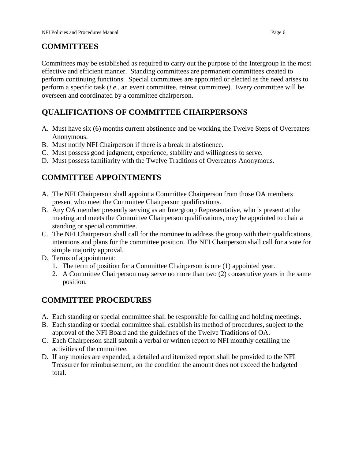### **COMMITTEES**

Committees may be established as required to carry out the purpose of the Intergroup in the most effective and efficient manner. Standing committees are permanent committees created to perform continuing functions. Special committees are appointed or elected as the need arises to perform a specific task (*i.e.,* an event committee, retreat committee). Every committee will be overseen and coordinated by a committee chairperson.

# **QUALIFICATIONS OF COMMITTEE CHAIRPERSONS**

- A. Must have six (6) months current abstinence and be working the Twelve Steps of Overeaters Anonymous.
- B. Must notify NFI Chairperson if there is a break in abstinence.
- C. Must possess good judgment, experience, stability and willingness to serve.
- D. Must possess familiarity with the Twelve Traditions of Overeaters Anonymous.

### **COMMITTEE APPOINTMENTS**

- A. The NFI Chairperson shall appoint a Committee Chairperson from those OA members present who meet the Committee Chairperson qualifications.
- B. Any OA member presently serving as an Intergroup Representative, who is present at the meeting and meets the Committee Chairperson qualifications, may be appointed to chair a standing or special committee.
- C. The NFI Chairperson shall call for the nominee to address the group with their qualifications, intentions and plans for the committee position. The NFI Chairperson shall call for a vote for simple majority approval.
- D. Terms of appointment:
	- 1. The term of position for a Committee Chairperson is one (1) appointed year.
	- 2. A Committee Chairperson may serve no more than two (2) consecutive years in the same position.

#### **COMMITTEE PROCEDURES**

- A. Each standing or special committee shall be responsible for calling and holding meetings.
- B. Each standing or special committee shall establish its method of procedures, subject to the approval of the NFI Board and the guidelines of the Twelve Traditions of OA.
- C. Each Chairperson shall submit a verbal or written report to NFI monthly detailing the activities of the committee.
- D. If any monies are expended, a detailed and itemized report shall be provided to the NFI Treasurer for reimbursement, on the condition the amount does not exceed the budgeted total.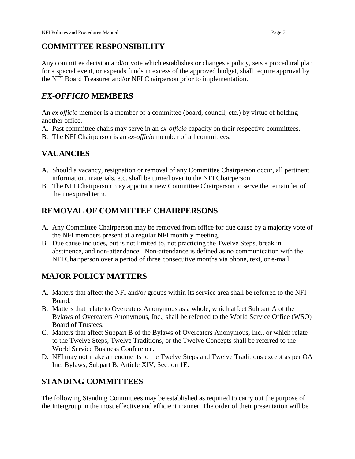#### **COMMITTEE RESPONSIBILITY**

Any committee decision and/or vote which establishes or changes a policy, sets a procedural plan for a special event, or expends funds in excess of the approved budget, shall require approval by the NFI Board Treasurer and/or NFI Chairperson prior to implementation.

### *EX-OFFICIO* **MEMBERS**

An *ex officio* member is a member of a committee (board, council, etc.) by virtue of holding another office.

- A. Past committee chairs may serve in an *ex-officio* capacity on their respective committees.
- B. The NFI Chairperson is an *ex-officio* member of all committees.

# **VACANCIES**

- A. Should a vacancy, resignation or removal of any Committee Chairperson occur, all pertinent information, materials, etc. shall be turned over to the NFI Chairperson.
- B. The NFI Chairperson may appoint a new Committee Chairperson to serve the remainder of the unexpired term.

# **REMOVAL OF COMMITTEE CHAIRPERSONS**

- A. Any Committee Chairperson may be removed from office for due cause by a majority vote of the NFI members present at a regular NFI monthly meeting.
- B. Due cause includes, but is not limited to, not practicing the Twelve Steps, break in abstinence, and non-attendance. Non-attendance is defined as no communication with the NFI Chairperson over a period of three consecutive months via phone, text, or e-mail.

# **MAJOR POLICY MATTERS**

- A. Matters that affect the NFI and/or groups within its service area shall be referred to the NFI Board.
- B. Matters that relate to Overeaters Anonymous as a whole, which affect Subpart A of the Bylaws of Overeaters Anonymous, Inc., shall be referred to the World Service Office (WSO) Board of Trustees.
- C. Matters that affect Subpart B of the Bylaws of Overeaters Anonymous, Inc., or which relate to the Twelve Steps, Twelve Traditions, or the Twelve Concepts shall be referred to the World Service Business Conference.
- D. NFI may not make amendments to the Twelve Steps and Twelve Traditions except as per OA Inc. Bylaws, Subpart B, Article XIV, Section 1E.

# **STANDING COMMITTEES**

The following Standing Committees may be established as required to carry out the purpose of the Intergroup in the most effective and efficient manner. The order of their presentation will be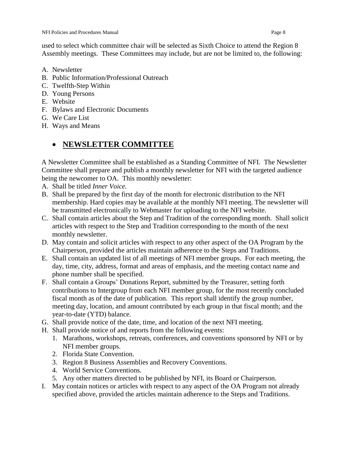used to select which committee chair will be selected as Sixth Choice to attend the Region 8 Assembly meetings. These Committees may include, but are not be limited to, the following:

- A. Newsletter
- B. Public Information/Professional Outreach
- C. Twelfth-Step Within
- D. Young Persons
- E. Website
- F. Bylaws and Electronic Documents
- G. We Care List
- H. Ways and Means

### **NEWSLETTER COMMITTEE**

A Newsletter Committee shall be established as a Standing Committee of NFI. The Newsletter Committee shall prepare and publish a monthly newsletter for NFI with the targeted audience being the newcomer to OA. This monthly newsletter:

- A. Shall be titled *Inner Voice.*
- B. Shall be prepared by the first day of the month for electronic distribution to the NFI membership. Hard copies may be available at the monthly NFI meeting. The newsletter will be transmitted electronically to Webmaster for uploading to the NFI website.
- C. Shall contain articles about the Step and Tradition of the corresponding month. Shall solicit articles with respect to the Step and Tradition corresponding to the month of the next monthly newsletter.
- D. May contain and solicit articles with respect to any other aspect of the OA Program by the Chairperson, provided the articles maintain adherence to the Steps and Traditions.
- E. Shall contain an updated list of all meetings of NFI member groups. For each meeting, the day, time, city, address, format and areas of emphasis, and the meeting contact name and phone number shall be specified.
- F. Shall contain a Groups' Donations Report, submitted by the Treasurer, setting forth contributions to Intergroup from each NFI member group, for the most recently concluded fiscal month as of the date of publication. This report shall identify the group number, meeting day, location, and amount contributed by each group in that fiscal month; and the year-to-date (YTD) balance.
- G. Shall provide notice of the date, time, and location of the next NFI meeting.
- H. Shall provide notice of and reports from the following events:
	- 1. Marathons, workshops, retreats, conferences, and conventions sponsored by NFI or by NFI member groups.
	- 2. Florida State Convention.
	- 3. Region 8 Business Assemblies and Recovery Conventions.
	- 4. World Service Conventions.
	- 5. Any other matters directed to be published by NFI, its Board or Chairperson.
- I. May contain notices or articles with respect to any aspect of the OA Program not already specified above, provided the articles maintain adherence to the Steps and Traditions.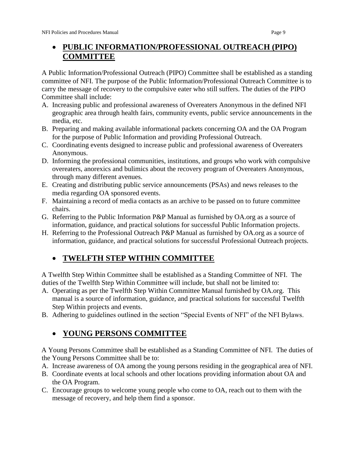# **PUBLIC INFORMATION/PROFESSIONAL OUTREACH (PIPO) COMMITTEE**

A Public Information/Professional Outreach (PIPO) Committee shall be established as a standing committee of NFI. The purpose of the Public Information/Professional Outreach Committee is to carry the message of recovery to the compulsive eater who still suffers. The duties of the PIPO Committee shall include:

- A. Increasing public and professional awareness of Overeaters Anonymous in the defined NFI geographic area through health fairs, community events, public service announcements in the media, etc.
- B. Preparing and making available informational packets concerning OA and the OA Program for the purpose of Public Information and providing Professional Outreach.
- C. Coordinating events designed to increase public and professional awareness of Overeaters Anonymous.
- D. Informing the professional communities, institutions, and groups who work with compulsive overeaters, anorexics and bulimics about the recovery program of Overeaters Anonymous, through many different avenues.
- E. Creating and distributing public service announcements (PSAs) and news releases to the media regarding OA sponsored events.
- F. Maintaining a record of media contacts as an archive to be passed on to future committee chairs.
- G. Referring to the Public Information P&P Manual as furnished by OA.org as a source of information, guidance, and practical solutions for successful Public Information projects.
- H. Referring to the Professional Outreach P&P Manual as furnished by OA.org as a source of information, guidance, and practical solutions for successful Professional Outreach projects.

# **TWELFTH STEP WITHIN COMMITTEE**

A Twelfth Step Within Committee shall be established as a Standing Committee of NFI. The duties of the Twelfth Step Within Committee will include, but shall not be limited to:

- A. Operating as per the Twelfth Step Within Committee Manual furnished by OA.org. This manual is a source of information, guidance, and practical solutions for successful Twelfth Step Within projects and events.
- B. Adhering to guidelines outlined in the section "Special Events of NFI" of the NFI Bylaws.

# **YOUNG PERSONS COMMITTEE**

A Young Persons Committee shall be established as a Standing Committee of NFI. The duties of the Young Persons Committee shall be to:

- A. Increase awareness of OA among the young persons residing in the geographical area of NFI.
- B. Coordinate events at local schools and other locations providing information about OA and the OA Program.
- C. Encourage groups to welcome young people who come to OA, reach out to them with the message of recovery, and help them find a sponsor.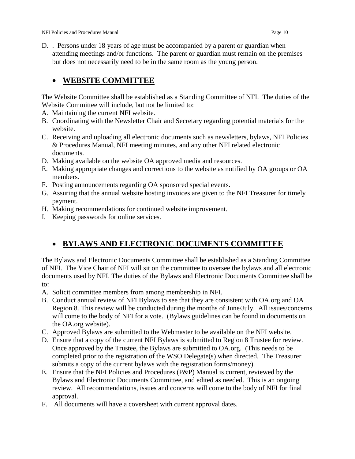D. . Persons under 18 years of age must be accompanied by a parent or guardian when attending meetings and/or functions. The parent or guardian must remain on the premises but does not necessarily need to be in the same room as the young person.

### **WEBSITE COMMITTEE**

The Website Committee shall be established as a Standing Committee of NFI. The duties of the Website Committee will include, but not be limited to:

- A. Maintaining the current NFI website.
- B. Coordinating with the Newsletter Chair and Secretary regarding potential materials for the website.
- C. Receiving and uploading all electronic documents such as newsletters, bylaws, NFI Policies & Procedures Manual, NFI meeting minutes, and any other NFI related electronic documents.
- D. Making available on the website OA approved media and resources.
- E. Making appropriate changes and corrections to the website as notified by OA groups or OA members.
- F. Posting announcements regarding OA sponsored special events.
- G. Assuring that the annual website hosting invoices are given to the NFI Treasurer for timely payment.
- H. Making recommendations for continued website improvement.
- I. Keeping passwords for online services.

# **BYLAWS AND ELECTRONIC DOCUMENTS COMMITTEE**

The Bylaws and Electronic Documents Committee shall be established as a Standing Committee of NFI. The Vice Chair of NFI will sit on the committee to oversee the bylaws and all electronic documents used by NFI. The duties of the Bylaws and Electronic Documents Committee shall be to:

- A. Solicit committee members from among membership in NFI.
- B. Conduct annual review of NFI Bylaws to see that they are consistent with OA.org and OA Region 8. This review will be conducted during the months of June/July. All issues/concerns will come to the body of NFI for a vote. (Bylaws guidelines can be found in documents on the OA.org website).
- C. Approved Bylaws are submitted to the Webmaster to be available on the NFI website.
- D. Ensure that a copy of the current NFI Bylaws is submitted to Region 8 Trustee for review. Once approved by the Trustee, the Bylaws are submitted to OA.org. (This needs to be completed prior to the registration of the WSO Delegate(s) when directed. The Treasurer submits a copy of the current bylaws with the registration forms/money).
- E. Ensure that the NFI Policies and Procedures (P&P) Manual is current, reviewed by the Bylaws and Electronic Documents Committee, and edited as needed. This is an ongoing review. All recommendations, issues and concerns will come to the body of NFI for final approval.
- F. All documents will have a coversheet with current approval dates.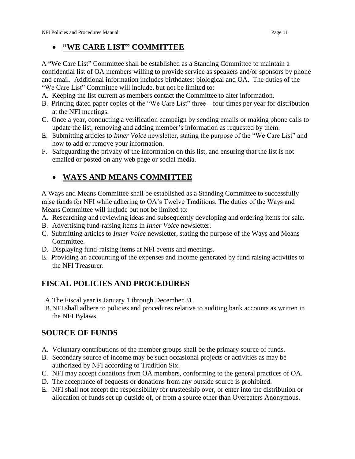### **"WE CARE LIST" COMMITTEE**

A "We Care List" Committee shall be established as a Standing Committee to maintain a confidential list of OA members willing to provide service as speakers and/or sponsors by phone and email. Additional information includes birthdates: biological and OA. The duties of the "We Care List" Committee will include, but not be limited to:

- A. Keeping the list current as members contact the Committee to alter information.
- B. Printing dated paper copies of the "We Care List" three four times per year for distribution at the NFI meetings.
- C. Once a year, conducting a verification campaign by sending emails or making phone calls to update the list, removing and adding member's information as requested by them.
- E. Submitting articles to *Inner Voice* newsletter, stating the purpose of the "We Care List" and how to add or remove your information.
- F. Safeguarding the privacy of the information on this list, and ensuring that the list is not emailed or posted on any web page or social media.

# **WAYS AND MEANS COMMITTEE**

A Ways and Means Committee shall be established as a Standing Committee to successfully raise funds for NFI while adhering to OA's Twelve Traditions. The duties of the Ways and Means Committee will include but not be limited to:

- A. Researching and reviewing ideas and subsequently developing and ordering items for sale.
- B. Advertising fund-raising items in *Inner Voice* newsletter.
- C. Submitting articles to *Inner Voice* newsletter, stating the purpose of the Ways and Means Committee.
- D. Displaying fund-raising items at NFI events and meetings.
- E. Providing an accounting of the expenses and income generated by fund raising activities to the NFI Treasurer.

### **FISCAL POLICIES AND PROCEDURES**

- A.The Fiscal year is January 1 through December 31.
- B.NFI shall adhere to policies and procedures relative to auditing bank accounts as written in the NFI Bylaws.

### **SOURCE OF FUNDS**

- A. Voluntary contributions of the member groups shall be the primary source of funds.
- B. Secondary source of income may be such occasional projects or activities as may be authorized by NFI according to Tradition Six.
- C. NFI may accept donations from OA members, conforming to the general practices of OA.
- D. The acceptance of bequests or donations from any outside source is prohibited.
- E. NFI shall not accept the responsibility for trusteeship over, or enter into the distribution or allocation of funds set up outside of, or from a source other than Overeaters Anonymous.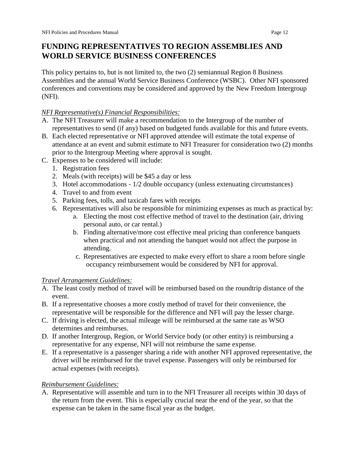### **FUNDING REPRESENTATIVES TO REGION ASSEMBLIES AND WORLD SERVICE BUSINESS CONFERENCES**

This policy pertains to, but is not limited to, the two (2) semiannual Region 8 Business Assemblies and the annual World Service Business Conference (WSBC). Other NFI sponsored conferences and conventions may be considered and approved by the New Freedom Intergroup (NFI).

#### *NFI Representative(s) Financial Responsibilities:*

- A. The NFI Treasurer will make a recommendation to the Intergroup of the number of representatives to send (if any) based on budgeted funds available for this and future events.
- B. Each elected representative or NFI approved attendee will estimate the total expense of attendance at an event and submit estimate to NFI Treasurer for consideration two (2) months prior to the Intergroup Meeting where approval is sought.
- C. Expenses to be considered will include:
	- 1. Registration fees
	- 2. Meals (with receipts) will be \$45 a day or less
	- 3. Hotel accommodations 1/2 double occupancy (unless extenuating circumstances)
	- 4. Travel to and from event
	- 5. Parking fees, tolls, and taxicab fares with receipts
	- 6. Representatives will also be responsible for minimizing expenses as much as practical by:
		- a. Electing the most cost effective method of travel to the destination (air, driving personal auto, or car rental.)
		- b. Finding alternative/more cost effective meal pricing than conference banquets when practical and not attending the banquet would not affect the purpose in attending.
		- c. Representatives are expected to make every effort to share a room before single occupancy reimbursement would be considered by NFI for approval.

#### *Travel Arrangement Guidelines:*

- A. The least costly method of travel will be reimbursed based on the roundtrip distance of the event.
- B. If a representative chooses a more costly method of travel for their convenience, the representative will be responsible for the difference and NFI will pay the lesser charge.
- C. If driving is elected, the actual mileage will be reimbursed at the same rate as WSO determines and reimburses.
- D. If another Intergroup, Region, or World Service body (or other entity) is reimbursing a representative for any expense, NFI will not reimburse the same expense.
- E. If a representative is a passenger sharing a ride with another NFI approved representative, the driver will be reimbursed for the travel expense. Passengers will only be reimbursed for actual expenses (with receipts).

#### *Reimbursement Guidelines:*

A. Representative will assemble and turn in to the NFI Treasurer all receipts within 30 days of the return from the event. This is especially crucial near the end of the year, so that the expense can be taken in the same fiscal year as the budget.